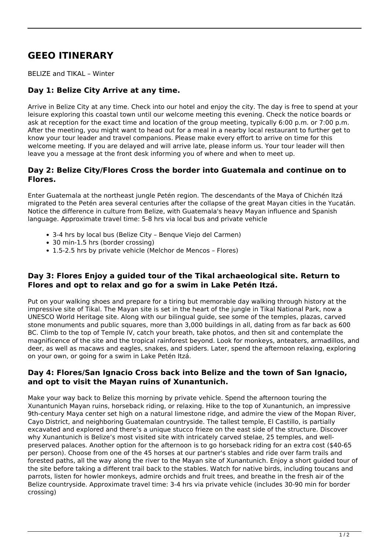# **GEEO ITINERARY**

BELIZE and TIKAL – Winter

# **Day 1: Belize City Arrive at any time.**

Arrive in Belize City at any time. Check into our hotel and enjoy the city. The day is free to spend at your leisure exploring this coastal town until our welcome meeting this evening. Check the notice boards or ask at reception for the exact time and location of the group meeting, typically 6:00 p.m. or 7:00 p.m. After the meeting, you might want to head out for a meal in a nearby local restaurant to further get to know your tour leader and travel companions. Please make every effort to arrive on time for this welcome meeting. If you are delayed and will arrive late, please inform us. Your tour leader will then leave you a message at the front desk informing you of where and when to meet up.

#### **Day 2: Belize City/Flores Cross the border into Guatemala and continue on to Flores.**

Enter Guatemala at the northeast jungle Petén region. The descendants of the Maya of Chichén Itzá migrated to the Petén area several centuries after the collapse of the great Mayan cities in the Yucatán. Notice the difference in culture from Belize, with Guatemala's heavy Mayan influence and Spanish language. Approximate travel time: 5-8 hrs via local bus and private vehicle

- 3-4 hrs by local bus (Belize City Benque Viejo del Carmen)
- 30 min-1.5 hrs (border crossing)
- 1.5-2.5 hrs by private vehicle (Melchor de Mencos Flores)

#### **Day 3: Flores Enjoy a guided tour of the Tikal archaeological site. Return to Flores and opt to relax and go for a swim in Lake Petén Itzá.**

Put on your walking shoes and prepare for a tiring but memorable day walking through history at the impressive site of Tikal. The Mayan site is set in the heart of the jungle in Tikal National Park, now a UNESCO World Heritage site. Along with our bilingual guide, see some of the temples, plazas, carved stone monuments and public squares, more than 3,000 buildings in all, dating from as far back as 600 BC. Climb to the top of Temple IV, catch your breath, take photos, and then sit and contemplate the magnificence of the site and the tropical rainforest beyond. Look for monkeys, anteaters, armadillos, and deer, as well as macaws and eagles, snakes, and spiders. Later, spend the afternoon relaxing, exploring on your own, or going for a swim in Lake Petén Itzá.

## **Day 4: Flores/San Ignacio Cross back into Belize and the town of San Ignacio, and opt to visit the Mayan ruins of Xunantunich.**

Make your way back to Belize this morning by private vehicle. Spend the afternoon touring the Xunantunich Mayan ruins, horseback riding, or relaxing. Hike to the top of Xunantunich, an impressive 9th-century Maya center set high on a natural limestone ridge, and admire the view of the Mopan River, Cayo District, and neighboring Guatemalan countryside. The tallest temple, El Castillo, is partially excavated and explored and there's a unique stucco frieze on the east side of the structure. Discover why Xunantunich is Belize's most visited site with intricately carved stelae, 25 temples, and wellpreserved palaces. Another option for the afternoon is to go horseback riding for an extra cost (\$40-65 per person). Choose from one of the 45 horses at our partner's stables and ride over farm trails and forested paths, all the way along the river to the Mayan site of Xunantunich. Enjoy a short guided tour of the site before taking a different trail back to the stables. Watch for native birds, including toucans and parrots, listen for howler monkeys, admire orchids and fruit trees, and breathe in the fresh air of the Belize countryside. Approximate travel time: 3-4 hrs via private vehicle (includes 30-90 min for border crossing)